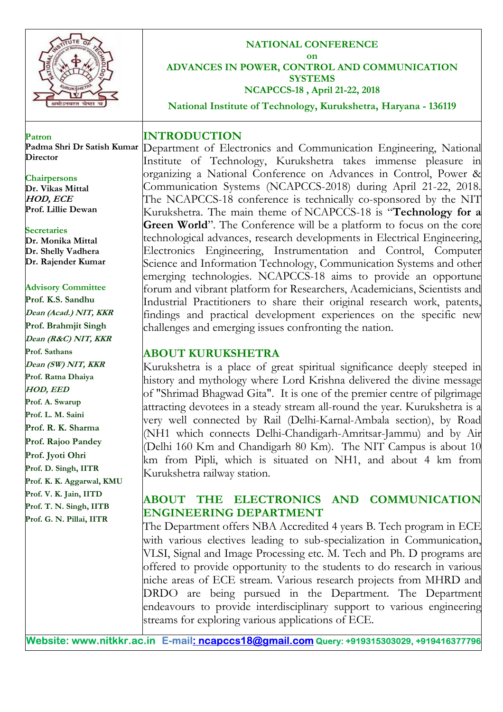

### **NATIONAL CONFERENCE on**

**ADVANCES IN POWER, CONTROL AND COMMUNICATION SYSTEMS NCAPCCS-18 , April 21-22, 2018** 

**National Institute of Technology, Kurukshetra, Haryana - 136119** 

**Patron Padma Shri Dr Satish Kumar Director** 

**Chairpersons Dr. Vikas Mittal HOD, ECE Prof. Lillie Dewan**

**Secretaries Dr. Monika Mittal Dr. Shelly Vadhera**

### **Advisory Committee**

**Dr. Rajender Kumar**

**Prof. K.S. Sandhu Dean (Acad.) NIT, KKR Prof. Brahmjit Singh Dean (R&C) NIT, KKR Prof. Sathans Dean (SW) NIT, KKR Prof. Ratna Dhaiya HOD, EED Prof. A. Swarup Prof. L. M. Saini Prof. R. K. Sharma Prof. Rajoo Pandey Prof. Jyoti Ohri Prof. D. Singh, IITR Prof. K. K. Aggarwal, KMU Prof. V. K. Jain, IITD Prof. T. N. Singh, IITB Prof. G. N. Pillai, IITR**

### **INTRODUCTION**

Department of Electronics and Communication Engineering, National Institute of Technology, Kurukshetra takes immense pleasure in organizing a National Conference on Advances in Control, Power & Communication Systems (NCAPCCS-2018) during April 21-22, 2018. The NCAPCCS-18 conference is technically co-sponsored by the NIT Kurukshetra. The main theme of NCAPCCS-18 is "**Technology for a Green World**". The Conference will be a platform to focus on the core technological advances, research developments in Electrical Engineering, Electronics Engineering, Instrumentation and Control, Computer Science and Information Technology, Communication Systems and other emerging technologies. NCAPCCS-18 aims to provide an opportune forum and vibrant platform for Researchers, Academicians, Scientists and Industrial Practitioners to share their original research work, patents, findings and practical development experiences on the specific new challenges and emerging issues confronting the nation.

# **ABOUT KURUKSHETRA**

Kurukshetra is a place of great spiritual significance deeply steeped in history and mythology where Lord Krishna delivered the divine message of "Shrimad Bhagwad Gita". It is one of the premier centre of pilgrimage attracting devotees in a steady stream all-round the year. Kurukshetra is a very well connected by Rail (Delhi-Karnal-Ambala section), by Road (NH1 which connects Delhi-Chandigarh-Amritsar-Jammu) and by Air (Delhi 160 Km and Chandigarh 80 Km). The NIT Campus is about 10 km from Pipli, which is situated on NH1, and about 4 km from Kurukshetra railway station.

# **ABOUT THE ELECTRONICS AND COMMUNICATION ENGINEERING DEPARTMENT**

The Department offers NBA Accredited 4 years B. Tech program in ECE with various electives leading to sub-specialization in Communication, VLSI, Signal and Image Processing etc. M. Tech and Ph. D programs are offered to provide opportunity to the students to do research in various niche areas of ECE stream. Various research projects from MHRD and DRDO are being pursued in the Department. The Department endeavours to provide interdisciplinary support to various engineering streams for exploring various applications of ECE.

**Website: www.nitkkr.ac.in E-mail: ncapccs18@gmail.com Query: +919315303029, +919416377796**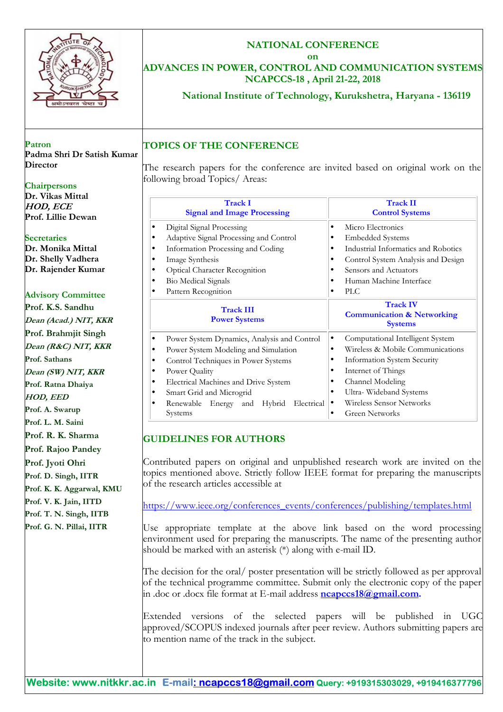| URUKSHETP                                                                                                                                                              | <b>NATIONAL CONFERENCE</b><br>on<br>ADVANCES IN POWER, CONTROL AND COMMUNICATION SYSTEMS<br>NCAPCCS-18, April 21-22, 2018<br>National Institute of Technology, Kurukshetra, Haryana - 136119                                                                                                                                                                                                                                                                                                                                                                                                                                                                                                          |                                                                                                                                                                                                                                                                           |
|------------------------------------------------------------------------------------------------------------------------------------------------------------------------|-------------------------------------------------------------------------------------------------------------------------------------------------------------------------------------------------------------------------------------------------------------------------------------------------------------------------------------------------------------------------------------------------------------------------------------------------------------------------------------------------------------------------------------------------------------------------------------------------------------------------------------------------------------------------------------------------------|---------------------------------------------------------------------------------------------------------------------------------------------------------------------------------------------------------------------------------------------------------------------------|
| Patron<br>Padma Shri Dr Satish Kumar<br><b>Director</b><br><b>Chairpersons</b><br>Dr. Vikas Mittal                                                                     | <b>TOPICS OF THE CONFERENCE</b><br>The research papers for the conference are invited based on original work on the<br>following broad Topics/ Areas:<br><b>Track I</b>                                                                                                                                                                                                                                                                                                                                                                                                                                                                                                                               | <b>Track II</b>                                                                                                                                                                                                                                                           |
| <b>HOD, ECE</b>                                                                                                                                                        | <b>Signal and Image Processing</b>                                                                                                                                                                                                                                                                                                                                                                                                                                                                                                                                                                                                                                                                    | <b>Control Systems</b>                                                                                                                                                                                                                                                    |
| Prof. Lillie Dewan<br><b>Secretaries</b><br>Dr. Monika Mittal<br>Dr. Shelly Vadhera<br>Dr. Rajender Kumar<br><b>Advisory Committee</b>                                 | Digital Signal Processing<br>$\bullet$<br>Adaptive Signal Processing and Control<br>$\bullet$<br>Information Processing and Coding<br>$\bullet$<br>Image Synthesis<br>$\bullet$<br>Optical Character Recognition<br>$\bullet$<br><b>Bio Medical Signals</b><br>$\bullet$<br>Pattern Recognition<br>$\bullet$                                                                                                                                                                                                                                                                                                                                                                                          | Micro Electronics<br>$\bullet$<br><b>Embedded Systems</b><br>$\bullet$<br>Industrial Informatics and Robotics<br>$\bullet$<br>Control System Analysis and Design<br>$\bullet$<br>Sensors and Actuators<br>Human Machine Interface<br><b>PLC</b><br>$\bullet$              |
| Prof. K.S. Sandhu                                                                                                                                                      |                                                                                                                                                                                                                                                                                                                                                                                                                                                                                                                                                                                                                                                                                                       | <b>Track IV</b>                                                                                                                                                                                                                                                           |
|                                                                                                                                                                        | <b>Track III</b><br><b>Power Systems</b>                                                                                                                                                                                                                                                                                                                                                                                                                                                                                                                                                                                                                                                              | <b>Communication &amp; Networking</b>                                                                                                                                                                                                                                     |
| Dean (Acad.) NIT, KKR                                                                                                                                                  |                                                                                                                                                                                                                                                                                                                                                                                                                                                                                                                                                                                                                                                                                                       | <b>Systems</b>                                                                                                                                                                                                                                                            |
| Prof. Brahmjit Singh<br>Dean (R&C) NIT, KKR<br>Prof. Sathans<br>Dean (SW) NIT, KKR<br>Prof. Ratna Dhaiya<br><b>HOD, EED</b><br>Prof. A. Swarup<br>Prof. L. M. Saini    | Power System Dynamics, Analysis and Control<br>$\bullet$<br>Power System Modeling and Simulation<br>$\bullet$<br>Control Techniques in Power Systems<br>$\bullet$<br>Power Quality<br>$\bullet$<br>Electrical Machines and Drive System<br>$\bullet$<br>Smart Grid and Microgrid<br>$\bullet$<br>Renewable Energy and Hybrid Electrical<br>$\bullet$<br>Systems                                                                                                                                                                                                                                                                                                                                       | Computational Intelligent System<br>$\bullet$<br>Wireless & Mobile Communications<br>Information System Security<br>$\bullet$<br>Internet of Things<br>$\bullet$<br>Channel Modeling<br>$\bullet$<br>Ultra-Wideband Systems<br>Wireless Sensor Networks<br>Green Networks |
| Prof. R. K. Sharma<br>Prof. Rajoo Pandey<br>Prof. Jyoti Ohri<br>Prof. D. Singh, IITR<br>Prof. K. K. Aggarwal, KMU<br>Prof. V. K. Jain, IITD<br>Prof. T. N. Singh, IITB | <b>GUIDELINES FOR AUTHORS</b><br>Contributed papers on original and unpublished research work are invited on the<br>topics mentioned above. Strictly follow IEEE format for preparing the manuscripts<br>of the research articles accessible at<br>https://www.ieee.org/conferences_events/conferences/publishing/templates.html                                                                                                                                                                                                                                                                                                                                                                      |                                                                                                                                                                                                                                                                           |
| Prof. G. N. Pillai, IITR                                                                                                                                               | Use appropriate template at the above link based on the word processing<br>environment used for preparing the manuscripts. The name of the presenting author<br>should be marked with an asterisk (*) along with e-mail ID.<br>The decision for the oral/ poster presentation will be strictly followed as per approval<br>of the technical programme committee. Submit only the electronic copy of the paper<br>in .doc or .docx file format at E-mail address <b>ncapccs18@gmail.com.</b><br>Extended versions of the selected papers will be published in UGC<br>approved/SCOPUS indexed journals after peer review. Authors submitting papers are<br>to mention name of the track in the subject. |                                                                                                                                                                                                                                                                           |

 $\mathsf{r}$ 

T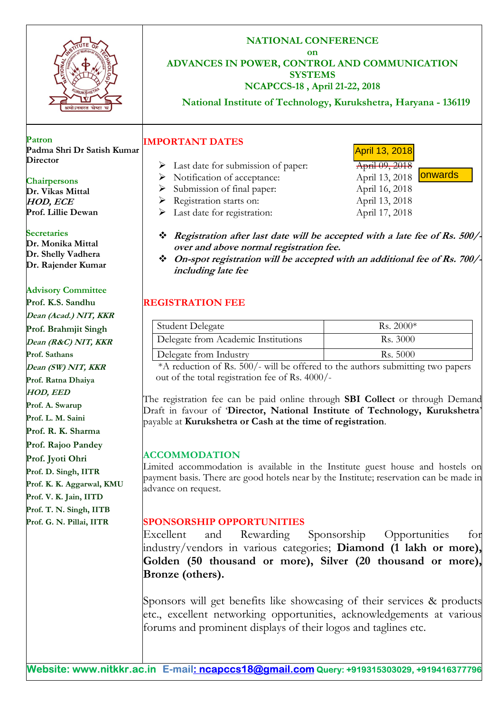

**NATIONAL CONFERENCE on ADVANCES IN POWER, CONTROL AND COMMUNICATION SYSTEMS** 

# **NCAPCCS-18 , April 21-22, 2018**

**National Institute of Technology, Kurukshetra, Haryana - 136119**

**Patron Padma Shri Dr Satish Kumar Director** 

### **Chairpersons**

**Dr. Vikas Mittal HOD, ECE Prof. Lillie Dewan**

**Secretaries**

**Dr. Monika Mittal Dr. Shelly Vadhera Dr. Rajender Kumar**

## **Advisory Committee**

**Prof. K.S. Sandhu Dean (Acad.) NIT, KKR Prof. Brahmjit Singh Dean (R&C) NIT, KKR Prof. Sathans Dean (SW) NIT, KKR Prof. Ratna Dhaiya HOD, EED Prof. A. Swarup Prof. L. M. Saini Prof. R. K. Sharma Prof. Rajoo Pandey Prof. Jyoti Ohri Prof. D. Singh, IITR Prof. K. K. Aggarwal, KMU Prof. V. K. Jain, IITD Prof. T. N. Singh, IITB Prof. G. N. Pillai, IITR** 

**IMPORTANT DATES** 

- $\triangleright$  Last date for submission of paper:  $\overline{April\ 09, 2018}$
- ▶ Notification of acceptance: April 13, 2018
- Submission of final paper: April 16, 2018
- P Registration starts on: April 13, 2018
- Last date for registration: April 17, 2018
- **Registration after last date will be accepted with a late fee of Rs. 500/ over and above normal registration fee.**
- **On-spot registration will be accepted with an additional fee of Rs. 700/ including late fee**

# **REGISTRATION FEE**

| Student Delegate                    | Rs. $2000*$ |
|-------------------------------------|-------------|
| Delegate from Academic Institutions | Rs. 3000    |
| Delegate from Industry              | Rs. 5000    |

 \*A reduction of Rs. 500/- will be offered to the authors submitting two papers out of the total registration fee of Rs. 4000/-

The registration fee can be paid online through **SBI Collect** or through Demand Draft in favour of '**Director, National Institute of Technology, Kurukshetra**' payable at **Kurukshetra or Cash at the time of registration**.

## **ACCOMMODATION**

Limited accommodation is available in the Institute guest house and hostels on payment basis. There are good hotels near by the Institute; reservation can be made in advance on request.

## **SPONSORSHIP OPPORTUNITIES**

Excellent and Rewarding Sponsorship Opportunities for industry/vendors in various categories; **Diamond (1 lakh or more), Golden (50 thousand or more), Silver (20 thousand or more), Bronze (others).**

Sponsors will get benefits like showcasing of their services & products etc., excellent networking opportunities, acknowledgements at various forums and prominent displays of their logos and taglines etc.

- April 13, 2018
- **lonwards**